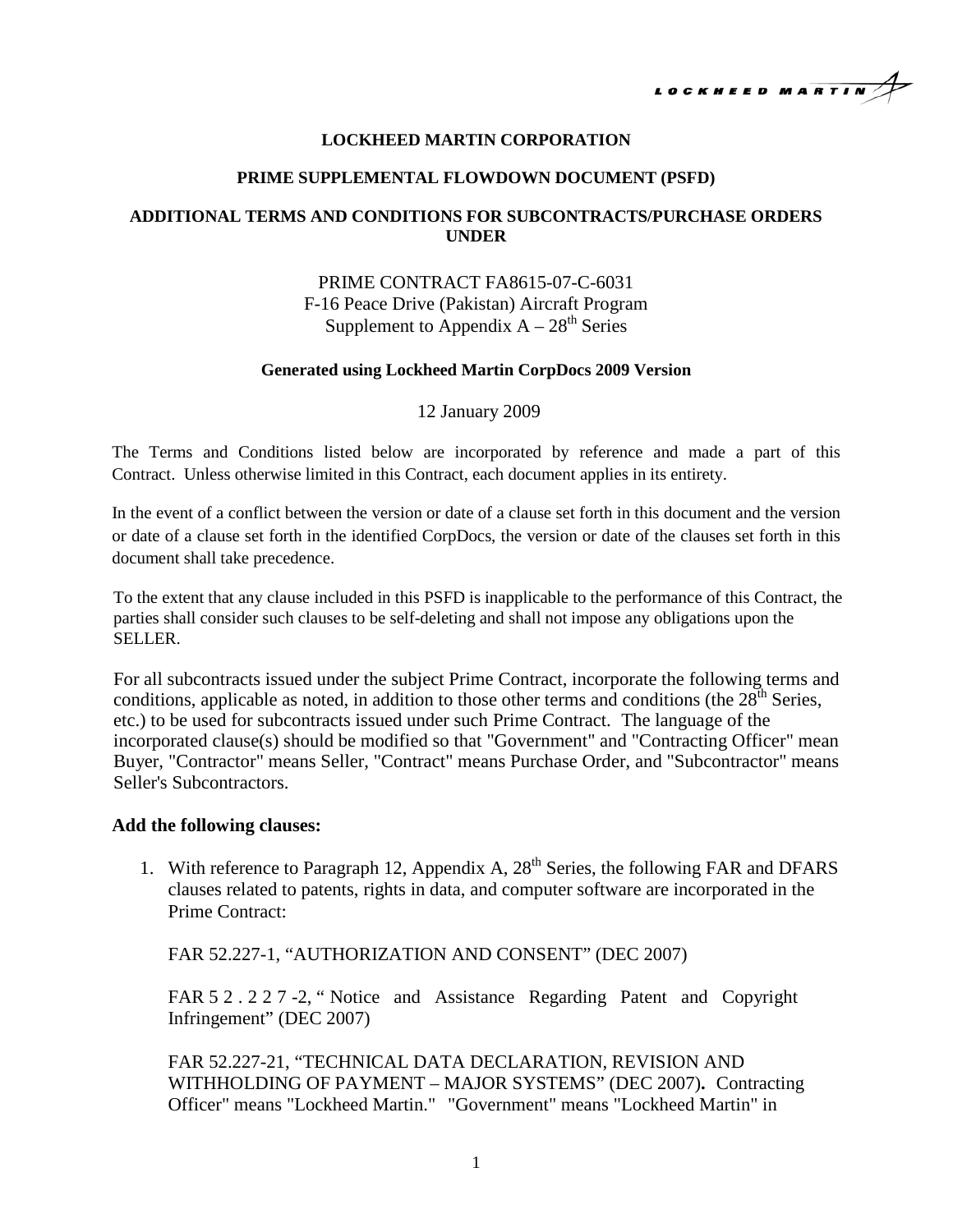

## **LOCKHEED MARTIN CORPORATION**

### **PRIME SUPPLEMENTAL FLOWDOWN DOCUMENT (PSFD)**

## **ADDITIONAL TERMS AND CONDITIONS FOR SUBCONTRACTS/PURCHASE ORDERS UNDER**

# PRIME CONTRACT FA8615-07-C-6031 F-16 Peace Drive (Pakistan) Aircraft Program Supplement to Appendix  $A - 28<sup>th</sup>$  Series

### **Generated using Lockheed Martin CorpDocs 2009 Version**

### 12 January 2009

The Terms and Conditions listed below are incorporated by reference and made a part of this Contract. Unless otherwise limited in this Contract, each document applies in its entirety.

In the event of a conflict between the version or date of a clause set forth in this document and the version or date of a clause set forth in the identified CorpDocs, the version or date of the clauses set forth in this document shall take precedence.

To the extent that any clause included in this PSFD is inapplicable to the performance of this Contract, the parties shall consider such clauses to be self-deleting and shall not impose any obligations upon the SELLER.

For all subcontracts issued under the subject Prime Contract, incorporate the following terms and conditions, applicable as noted, in addition to those other terms and conditions (the  $28<sup>th</sup>$  Series, etc.) to be used for subcontracts issued under such Prime Contract. The language of the incorporated clause(s) should be modified so that "Government" and "Contracting Officer" mean Buyer, "Contractor" means Seller, "Contract" means Purchase Order, and "Subcontractor" means Seller's Subcontractors.

### **Add the following clauses:**

1. With reference to Paragraph 12, Appendix A,  $28<sup>th</sup>$  Series, the following FAR and DFARS clauses related to patents, rights in data, and computer software are incorporated in the Prime Contract:

FAR 52.227-1, "AUTHORIZATION AND CONSENT" (DEC 2007)

FAR 52. 227 -2, " Notice and Assistance Regarding Patent and Copyright Infringement" (DEC 2007)

FAR 52.227-21, "TECHNICAL DATA DECLARATION, REVISION AND WITHHOLDING OF PAYMENT – MAJOR SYSTEMS" (DEC 2007)**.** Contracting Officer" means "Lockheed Martin." "Government" means "Lockheed Martin" in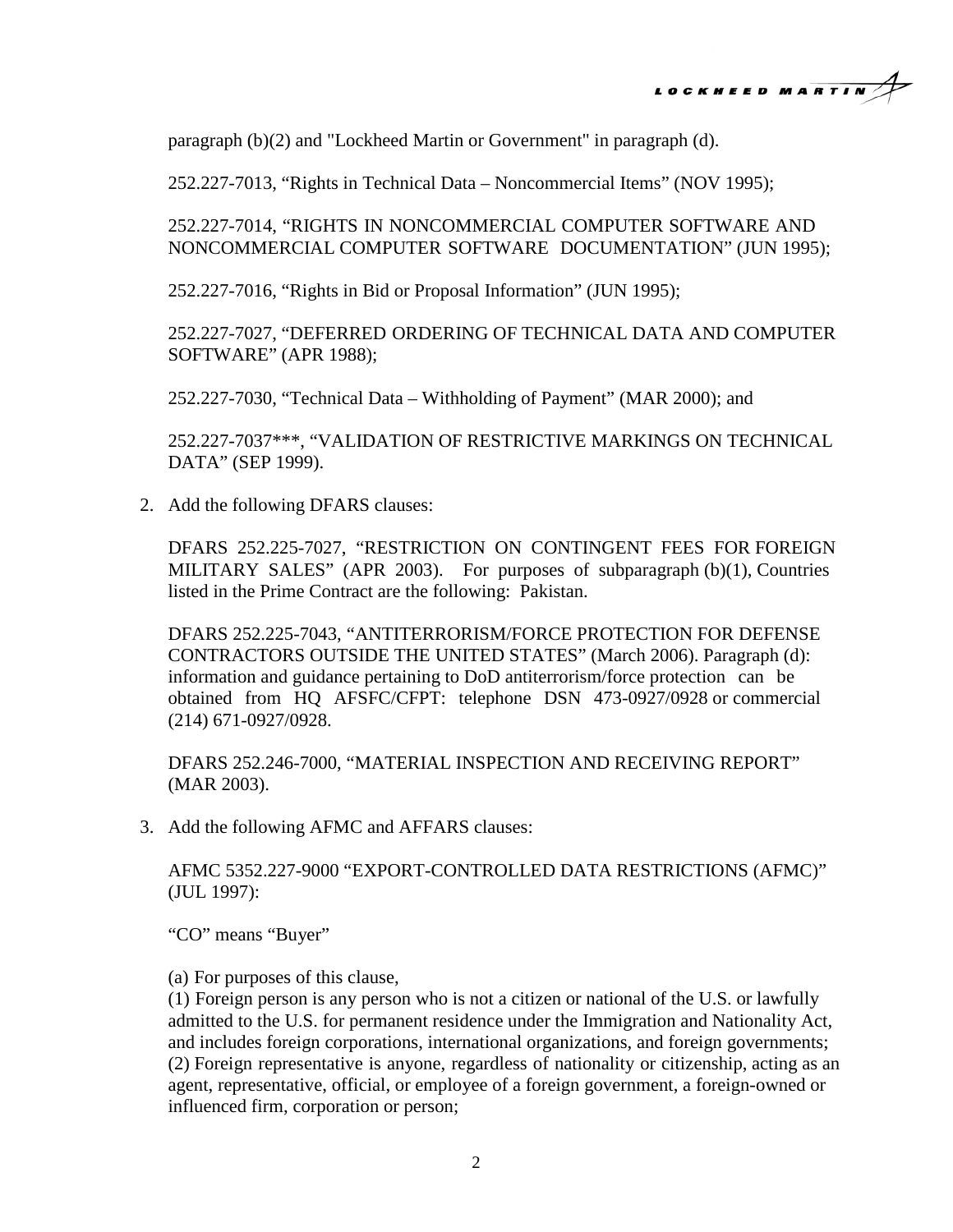

paragraph (b)(2) and "Lockheed Martin or Government" in paragraph (d).

252.227-7013, "Rights in Technical Data – Noncommercial Items" (NOV 1995);

252.227-7014, "RIGHTS IN NONCOMMERCIAL COMPUTER SOFTWARE AND NONCOMMERCIAL COMPUTER SOFTWARE DOCUMENTATION" (JUN 1995);

252.227-7016, "Rights in Bid or Proposal Information" (JUN 1995);

252.227-7027, "DEFERRED ORDERING OF TECHNICAL DATA AND COMPUTER SOFTWARE" (APR 1988);

252.227-7030, "Technical Data – Withholding of Payment" (MAR 2000); and

252.227-7037\*\*\*, "VALIDATION OF RESTRICTIVE MARKINGS ON TECHNICAL DATA" (SEP 1999).

2. Add the following DFARS clauses:

DFARS 252.225-7027, "RESTRICTION ON CONTINGENT FEES FOR FOREIGN MILITARY SALES" (APR 2003). For purposes of subparagraph (b)(1), Countries listed in the Prime Contract are the following: Pakistan.

DFARS 252.225-7043, "ANTITERRORISM/FORCE PROTECTION FOR DEFENSE CONTRACTORS OUTSIDE THE UNITED STATES" (March 2006). Paragraph (d): information and guidance pertaining to DoD antiterrorism/force protection can be obtained from HQ AFSFC/CFPT: telephone DSN 473-0927/0928 or commercial (214) 671-0927/0928.

DFARS 252.246-7000, "MATERIAL INSPECTION AND RECEIVING REPORT" (MAR 2003).

3. Add the following AFMC and AFFARS clauses:

AFMC 5352.227-9000 "EXPORT-CONTROLLED DATA RESTRICTIONS (AFMC)" (JUL 1997):

"CO" means "Buyer"

(a) For purposes of this clause,

(1) Foreign person is any person who is not a citizen or national of the U.S. or lawfully admitted to the U.S. for permanent residence under the Immigration and Nationality Act, and includes foreign corporations, international organizations, and foreign governments; (2) Foreign representative is anyone, regardless of nationality or citizenship, acting as an agent, representative, official, or employee of a foreign government, a foreign-owned or influenced firm, corporation or person;